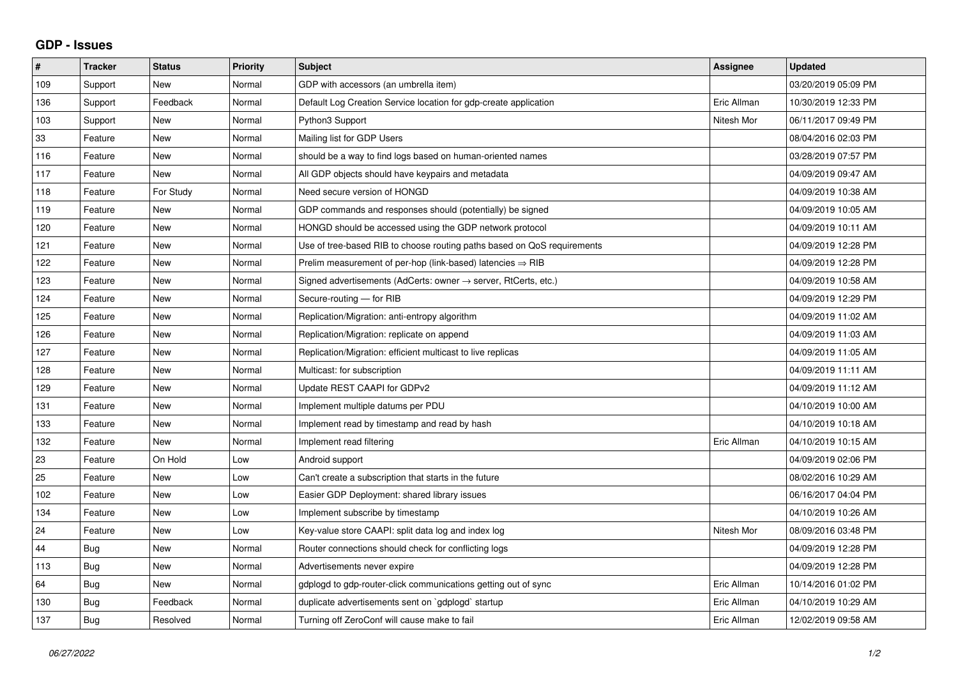## **GDP - Issues**

| #   | <b>Tracker</b> | <b>Status</b> | <b>Priority</b> | <b>Subject</b>                                                          | Assignee    | <b>Updated</b>      |
|-----|----------------|---------------|-----------------|-------------------------------------------------------------------------|-------------|---------------------|
| 109 | Support        | <b>New</b>    | Normal          | GDP with accessors (an umbrella item)                                   |             | 03/20/2019 05:09 PM |
| 136 | Support        | Feedback      | Normal          | Default Log Creation Service location for gdp-create application        | Eric Allman | 10/30/2019 12:33 PM |
| 103 | Support        | <b>New</b>    | Normal          | Python3 Support                                                         | Nitesh Mor  | 06/11/2017 09:49 PM |
| 33  | Feature        | <b>New</b>    | Normal          | Mailing list for GDP Users                                              |             | 08/04/2016 02:03 PM |
| 116 | Feature        | <b>New</b>    | Normal          | should be a way to find logs based on human-oriented names              |             | 03/28/2019 07:57 PM |
| 117 | Feature        | <b>New</b>    | Normal          | All GDP objects should have keypairs and metadata                       |             | 04/09/2019 09:47 AM |
| 118 | Feature        | For Study     | Normal          | Need secure version of HONGD                                            |             | 04/09/2019 10:38 AM |
| 119 | Feature        | <b>New</b>    | Normal          | GDP commands and responses should (potentially) be signed               |             | 04/09/2019 10:05 AM |
| 120 | Feature        | <b>New</b>    | Normal          | HONGD should be accessed using the GDP network protocol                 |             | 04/09/2019 10:11 AM |
| 121 | Feature        | <b>New</b>    | Normal          | Use of tree-based RIB to choose routing paths based on QoS requirements |             | 04/09/2019 12:28 PM |
| 122 | Feature        | <b>New</b>    | Normal          | Prelim measurement of per-hop (link-based) latencies $\Rightarrow$ RIB  |             | 04/09/2019 12:28 PM |
| 123 | Feature        | <b>New</b>    | Normal          | Signed advertisements (AdCerts: owner → server, RtCerts, etc.)          |             | 04/09/2019 10:58 AM |
| 124 | Feature        | <b>New</b>    | Normal          | Secure-routing - for RIB                                                |             | 04/09/2019 12:29 PM |
| 125 | Feature        | <b>New</b>    | Normal          | Replication/Migration: anti-entropy algorithm                           |             | 04/09/2019 11:02 AM |
| 126 | Feature        | <b>New</b>    | Normal          | Replication/Migration: replicate on append                              |             | 04/09/2019 11:03 AM |
| 127 | Feature        | <b>New</b>    | Normal          | Replication/Migration: efficient multicast to live replicas             |             | 04/09/2019 11:05 AM |
| 128 | Feature        | <b>New</b>    | Normal          | Multicast: for subscription                                             |             | 04/09/2019 11:11 AM |
| 129 | Feature        | <b>New</b>    | Normal          | Update REST CAAPI for GDPv2                                             |             | 04/09/2019 11:12 AM |
| 131 | Feature        | <b>New</b>    | Normal          | Implement multiple datums per PDU                                       |             | 04/10/2019 10:00 AM |
| 133 | Feature        | <b>New</b>    | Normal          | Implement read by timestamp and read by hash                            |             | 04/10/2019 10:18 AM |
| 132 | Feature        | New           | Normal          | Implement read filtering                                                | Eric Allman | 04/10/2019 10:15 AM |
| 23  | Feature        | On Hold       | Low             | Android support                                                         |             | 04/09/2019 02:06 PM |
| 25  | Feature        | <b>New</b>    | Low             | Can't create a subscription that starts in the future                   |             | 08/02/2016 10:29 AM |
| 102 | Feature        | <b>New</b>    | Low             | Easier GDP Deployment: shared library issues                            |             | 06/16/2017 04:04 PM |
| 134 | Feature        | <b>New</b>    | Low             | Implement subscribe by timestamp                                        |             | 04/10/2019 10:26 AM |
| 24  | Feature        | <b>New</b>    | Low             | Key-value store CAAPI: split data log and index log                     | Nitesh Mor  | 08/09/2016 03:48 PM |
| 44  | <b>Bug</b>     | <b>New</b>    | Normal          | Router connections should check for conflicting logs                    |             | 04/09/2019 12:28 PM |
| 113 | Bug            | <b>New</b>    | Normal          | Advertisements never expire                                             |             | 04/09/2019 12:28 PM |
| 64  | <b>Bug</b>     | <b>New</b>    | Normal          | gdplogd to gdp-router-click communications getting out of sync          | Eric Allman | 10/14/2016 01:02 PM |
| 130 | Bug            | Feedback      | Normal          | duplicate advertisements sent on `gdplogd` startup                      | Eric Allman | 04/10/2019 10:29 AM |
| 137 | Bug            | Resolved      | Normal          | Turning off ZeroConf will cause make to fail                            | Eric Allman | 12/02/2019 09:58 AM |